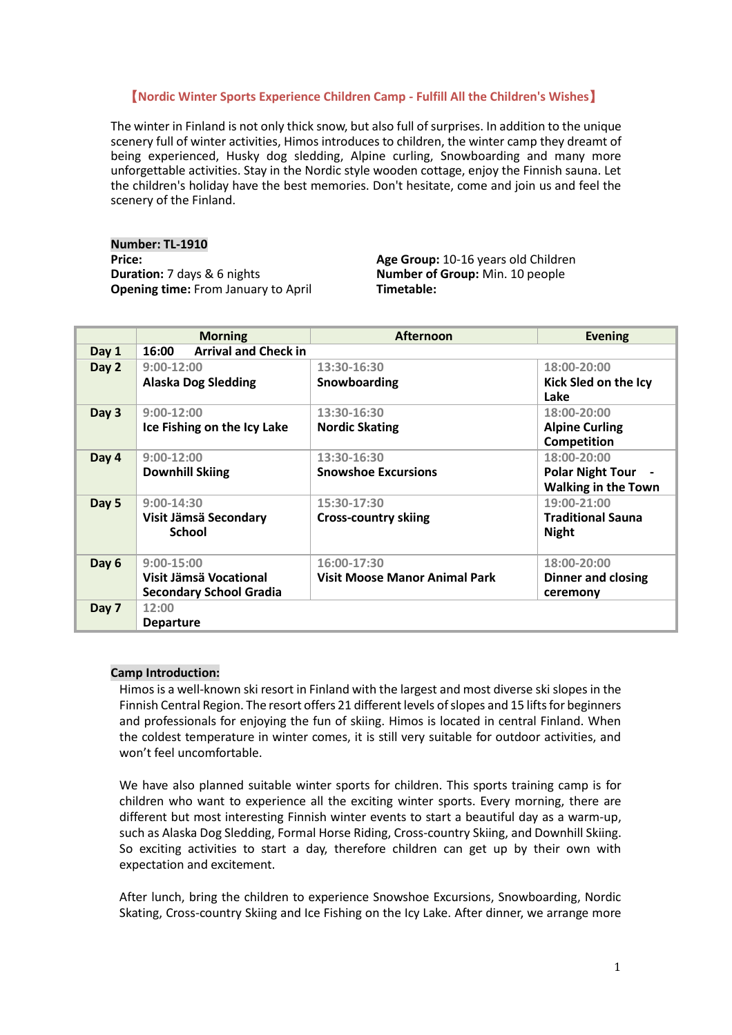# 【**Nordic Winter Sports Experience Children Camp - Fulfill All the Children's Wishes**】

The winter in Finland is not only thick snow, but also full of surprises. In addition to the unique scenery full of winter activities, Himos introduces to children, the winter camp they dreamt of being experienced, Husky dog sledding, Alpine curling, Snowboarding and many more unforgettable activities. Stay in the Nordic style wooden cottage, enjoy the Finnish sauna. Let the children's holiday have the best memories. Don't hesitate, come and join us and feel the scenery of the Finland.

**Number: TL-1910 Price: Age Group:** 10-16 years old Children **Duration:** 7 days & 6 nights **Age Group: Number of Group:** Min. 10 people **Opening time:** From January to April

**Number of Group:** Min. 10 people<br>**Timetable:** 

|       | <b>Morning</b>                       | <b>Afternoon</b>                     | <b>Evening</b>             |  |
|-------|--------------------------------------|--------------------------------------|----------------------------|--|
| Day 1 | <b>Arrival and Check in</b><br>16:00 |                                      |                            |  |
| Day 2 | $9:00-12:00$                         | 13:30-16:30                          | 18:00-20:00                |  |
|       | <b>Alaska Dog Sledding</b>           | Snowboarding                         | Kick Sled on the Icy       |  |
|       |                                      |                                      | Lake                       |  |
| Day 3 | $9:00-12:00$                         | 13:30-16:30                          | 18:00-20:00                |  |
|       | Ice Fishing on the Icy Lake          | <b>Nordic Skating</b>                | <b>Alpine Curling</b>      |  |
|       |                                      |                                      | <b>Competition</b>         |  |
| Day 4 | $9:00-12:00$                         | 13:30-16:30                          | 18:00-20:00                |  |
|       | <b>Downhill Skiing</b>               | <b>Snowshoe Excursions</b>           | <b>Polar Night Tour</b>    |  |
|       |                                      |                                      | <b>Walking in the Town</b> |  |
| Day 5 | $9:00-14:30$                         | 15:30-17:30                          | 19:00-21:00                |  |
|       | Visit Jämsä Secondary                | <b>Cross-country skiing</b>          | <b>Traditional Sauna</b>   |  |
|       | <b>School</b>                        |                                      | <b>Night</b>               |  |
|       |                                      |                                      |                            |  |
| Day 6 | $9:00 - 15:00$                       | 16:00-17:30                          | 18:00-20:00                |  |
|       | Visit Jämsä Vocational               | <b>Visit Moose Manor Animal Park</b> | Dinner and closing         |  |
|       | <b>Secondary School Gradia</b>       |                                      | ceremony                   |  |
| Day 7 | 12:00                                |                                      |                            |  |
|       | <b>Departure</b>                     |                                      |                            |  |

### **Camp Introduction:**

Himos is a well-known ski resort in Finland with the largest and most diverse ski slopes in the Finnish Central Region. The resort offers 21 different levels of slopes and 15 lifts for beginners and professionals for enjoying the fun of skiing. Himos is located in central Finland. When the coldest temperature in winter comes, it is still very suitable for outdoor activities, and won't feel uncomfortable.

We have also planned suitable winter sports for children. This sports training camp is for children who want to experience all the exciting winter sports. Every morning, there are different but most interesting Finnish winter events to start a beautiful day as a warm-up, such as Alaska Dog Sledding, Formal Horse Riding, Cross-country Skiing, and Downhill Skiing. So exciting activities to start a day, therefore children can get up by their own with expectation and excitement.

After lunch, bring the children to experience Snowshoe Excursions, Snowboarding, Nordic Skating, Cross-country Skiing and Ice Fishing on the Icy Lake. After dinner, we arrange more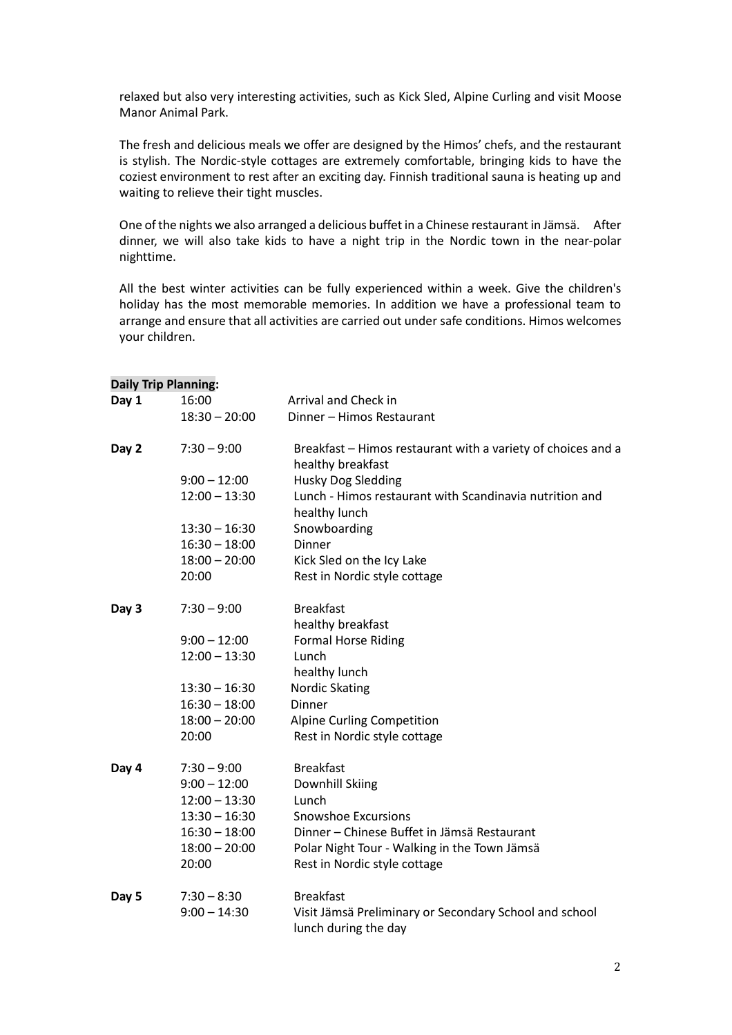relaxed but also very interesting activities, such as Kick Sled, Alpine Curling and visit Moose Manor Animal Park.

The fresh and delicious meals we offer are designed by the Himos' chefs, and the restaurant is stylish. The Nordic-style cottages are extremely comfortable, bringing kids to have the coziest environment to rest after an exciting day. Finnish traditional sauna is heating up and waiting to relieve their tight muscles.

One of the nights we also arranged a delicious buffet in a Chinese restaurant in Jämsä. After dinner, we will also take kids to have a night trip in the Nordic town in the near-polar nighttime.

All the best winter activities can be fully experienced within a week. Give the children's holiday has the most memorable memories. In addition we have a professional team to arrange and ensure that all activities are carried out under safe conditions. Himos welcomes your children.

|       | <b>Daily Trip Planning:</b> |                                                                                   |
|-------|-----------------------------|-----------------------------------------------------------------------------------|
| Day 1 | 16:00                       | Arrival and Check in                                                              |
|       | $18:30 - 20:00$             | Dinner - Himos Restaurant                                                         |
| Day 2 | $7:30 - 9:00$               | Breakfast – Himos restaurant with a variety of choices and a<br>healthy breakfast |
|       | $9:00 - 12:00$              | <b>Husky Dog Sledding</b>                                                         |
|       | $12:00 - 13:30$             | Lunch - Himos restaurant with Scandinavia nutrition and<br>healthy lunch          |
|       | $13:30 - 16:30$             | Snowboarding                                                                      |
|       | $16:30 - 18:00$             | Dinner                                                                            |
|       | $18:00 - 20:00$             | Kick Sled on the Icy Lake                                                         |
|       | 20:00                       | Rest in Nordic style cottage                                                      |
| Day 3 | $7:30 - 9:00$               | <b>Breakfast</b>                                                                  |
|       |                             | healthy breakfast                                                                 |
|       | $9:00 - 12:00$              | <b>Formal Horse Riding</b>                                                        |
|       | $12:00 - 13:30$             | Lunch                                                                             |
|       |                             | healthy lunch                                                                     |
|       | $13:30 - 16:30$             | <b>Nordic Skating</b>                                                             |
|       | $16:30 - 18:00$             | Dinner                                                                            |
|       | $18:00 - 20:00$             | Alpine Curling Competition                                                        |
|       | 20:00                       | Rest in Nordic style cottage                                                      |
| Day 4 | $7:30 - 9:00$               | <b>Breakfast</b>                                                                  |
|       | $9:00 - 12:00$              | Downhill Skiing                                                                   |
|       | $12:00 - 13:30$             | Lunch                                                                             |
|       | $13:30 - 16:30$             | <b>Snowshoe Excursions</b>                                                        |
|       | $16:30 - 18:00$             | Dinner - Chinese Buffet in Jämsä Restaurant                                       |
|       | $18:00 - 20:00$             | Polar Night Tour - Walking in the Town Jämsä                                      |
|       | 20:00                       | Rest in Nordic style cottage                                                      |
| Day 5 | $7:30 - 8:30$               | <b>Breakfast</b>                                                                  |
|       | $9:00 - 14:30$              | Visit Jämsä Preliminary or Secondary School and school<br>lunch during the day    |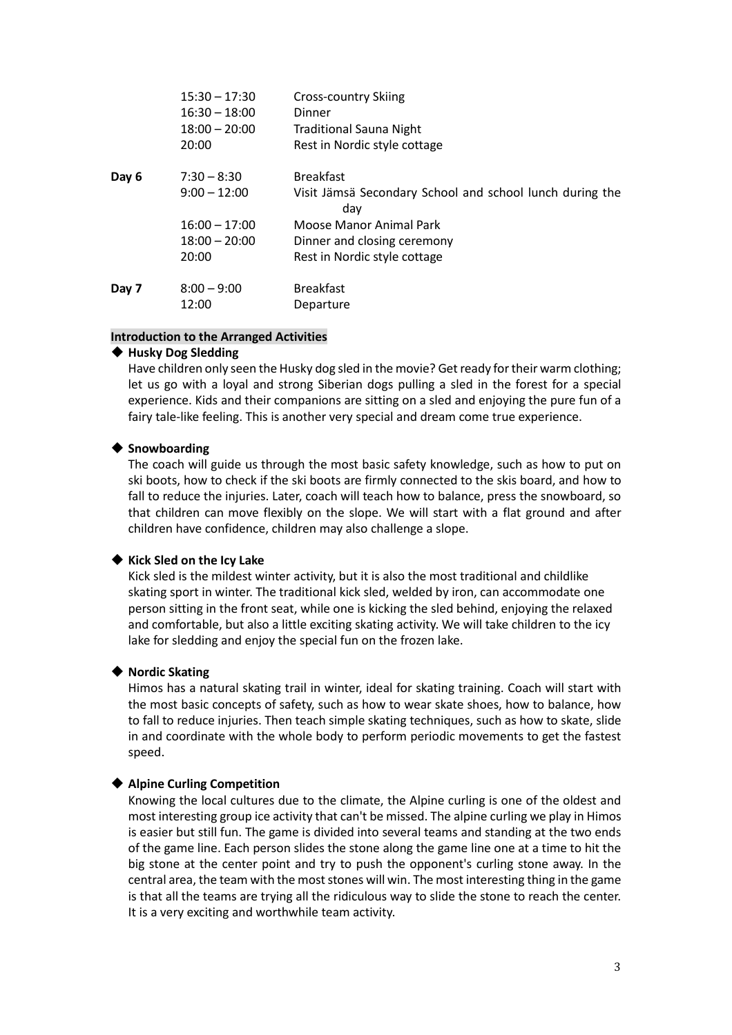|       | $15:30 - 17:30$ | Cross-country Skiing                                     |
|-------|-----------------|----------------------------------------------------------|
|       | $16:30 - 18:00$ | Dinner                                                   |
|       | $18:00 - 20:00$ | <b>Traditional Sauna Night</b>                           |
|       | 20:00           | Rest in Nordic style cottage                             |
| Day 6 | $7:30 - 8:30$   | <b>Breakfast</b>                                         |
|       | $9:00 - 12:00$  | Visit Jämsä Secondary School and school lunch during the |
|       |                 | day                                                      |
|       | $16:00 - 17:00$ | Moose Manor Animal Park                                  |
|       | $18:00 - 20:00$ | Dinner and closing ceremony                              |
|       | 20:00           | Rest in Nordic style cottage                             |
| Day 7 | $8:00 - 9:00$   | <b>Breakfast</b>                                         |
|       | 12:00           | Departure                                                |

### **Introduction to the Arranged Activities**

### ◆ **Husky Dog Sledding**

Have children only seen the Husky dog sled in the movie? Get ready for their warm clothing; let us go with a loyal and strong Siberian dogs pulling a sled in the forest for a special experience. Kids and their companions are sitting on a sled and enjoying the pure fun of a fairy tale-like feeling. This is another very special and dream come true experience.

## ◆ **Snowboarding**

The coach will guide us through the most basic safety knowledge, such as how to put on ski boots, how to check if the ski boots are firmly connected to the skis board, and how to fall to reduce the injuries. Later, coach will teach how to balance, press the snowboard, so that children can move flexibly on the slope. We will start with a flat ground and after children have confidence, children may also challenge a slope.

### ◆ **Kick Sled on the Icy Lake**

Kick sled is the mildest winter activity, but it is also the most traditional and childlike skating sport in winter. The traditional kick sled, welded by iron, can accommodate one person sitting in the front seat, while one is kicking the sled behind, enjoying the relaxed and comfortable, but also a little exciting skating activity. We will take children to the icy lake for sledding and enjoy the special fun on the frozen lake.

### ◆ **Nordic Skating**

Himos has a natural skating trail in winter, ideal for skating training. Coach will start with the most basic concepts of safety, such as how to wear skate shoes, how to balance, how to fall to reduce injuries. Then teach simple skating techniques, such as how to skate, slide in and coordinate with the whole body to perform periodic movements to get the fastest speed.

# ◆ **Alpine Curling Competition**

Knowing the local cultures due to the climate, the Alpine curling is one of the oldest and most interesting group ice activity that can't be missed. The alpine curling we play in Himos is easier but still fun. The game is divided into several teams and standing at the two ends of the game line. Each person slides the stone along the game line one at a time to hit the big stone at the center point and try to push the opponent's curling stone away. In the central area, the team with the most stones will win. The most interesting thing in the game is that all the teams are trying all the ridiculous way to slide the stone to reach the center. It is a very exciting and worthwhile team activity.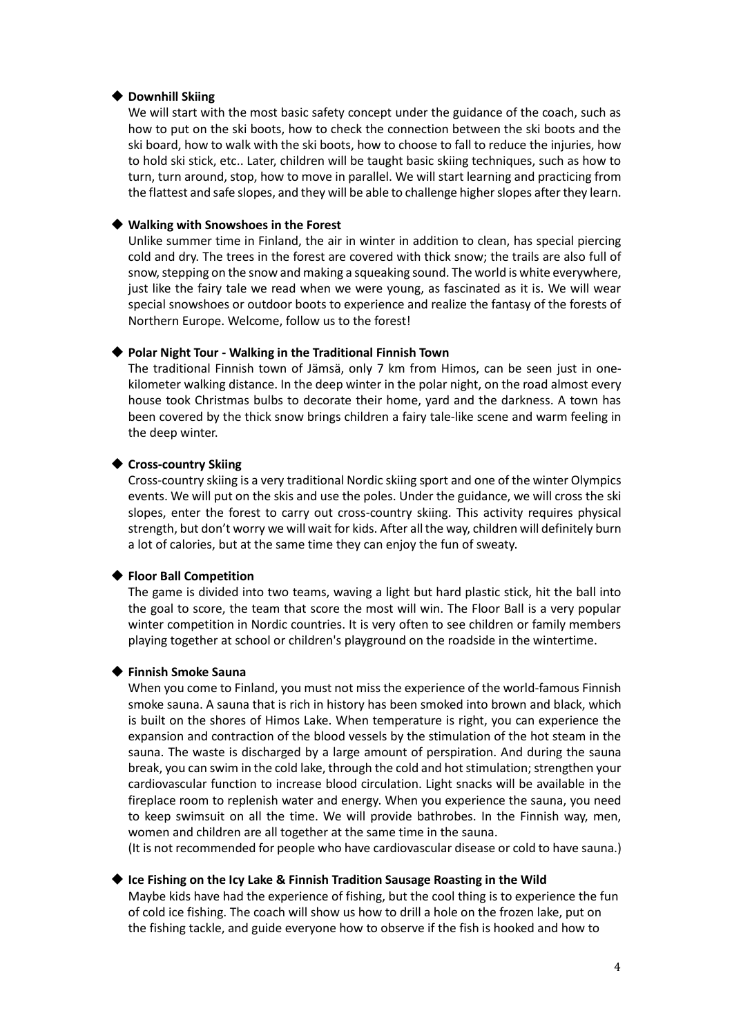#### ◆ **Downhill Skiing**

We will start with the most basic safety concept under the guidance of the coach, such as how to put on the ski boots, how to check the connection between the ski boots and the ski board, how to walk with the ski boots, how to choose to fall to reduce the injuries, how to hold ski stick, etc.. Later, children will be taught basic skiing techniques, such as how to turn, turn around, stop, how to move in parallel. We will start learning and practicing from the flattest and safe slopes, and they will be able to challenge higher slopes after they learn.

### ◆ **Walking with Snowshoes in the Forest**

Unlike summer time in Finland, the air in winter in addition to clean, has special piercing cold and dry. The trees in the forest are covered with thick snow; the trails are also full of snow, stepping on the snow and making a squeaking sound. The world is white everywhere, just like the fairy tale we read when we were young, as fascinated as it is. We will wear special snowshoes or outdoor boots to experience and realize the fantasy of the forests of Northern Europe. Welcome, follow us to the forest!

#### ◆ **Polar Night Tour - Walking in the Traditional Finnish Town**

The traditional Finnish town of Jämsä, only 7 km from Himos, can be seen just in onekilometer walking distance. In the deep winter in the polar night, on the road almost every house took Christmas bulbs to decorate their home, yard and the darkness. A town has been covered by the thick snow brings children a fairy tale-like scene and warm feeling in the deep winter.

#### ◆ **Cross-country Skiing**

Cross-country skiing is a very traditional Nordic skiing sport and one of the winter Olympics events. We will put on the skis and use the poles. Under the guidance, we will cross the ski slopes, enter the forest to carry out cross-country skiing. This activity requires physical strength, but don't worry we will wait for kids. After all the way, children will definitely burn a lot of calories, but at the same time they can enjoy the fun of sweaty.

### ◆ **Floor Ball Competition**

The game is divided into two teams, waving a light but hard plastic stick, hit the ball into the goal to score, the team that score the most will win. The Floor Ball is a very popular winter competition in Nordic countries. It is very often to see children or family members playing together at school or children's playground on the roadside in the wintertime.

#### ◆ **Finnish Smoke Sauna**

When you come to Finland, you must not miss the experience of the world-famous Finnish smoke sauna. A sauna that is rich in history has been smoked into brown and black, which is built on the shores of Himos Lake. When temperature is right, you can experience the expansion and contraction of the blood vessels by the stimulation of the hot steam in the sauna. The waste is discharged by a large amount of perspiration. And during the sauna break, you can swim in the cold lake, through the cold and hot stimulation; strengthen your cardiovascular function to increase blood circulation. Light snacks will be available in the fireplace room to replenish water and energy. When you experience the sauna, you need to keep swimsuit on all the time. We will provide bathrobes. In the Finnish way, men, women and children are all together at the same time in the sauna.

(It is not recommended for people who have cardiovascular disease or cold to have sauna.)

## ◆ **Ice Fishing on the Icy Lake & Finnish Tradition Sausage Roasting in the Wild**

Maybe kids have had the experience of fishing, but the cool thing is to experience the fun of cold ice fishing. The coach will show us how to drill a hole on the frozen lake, put on the fishing tackle, and guide everyone how to observe if the fish is hooked and how to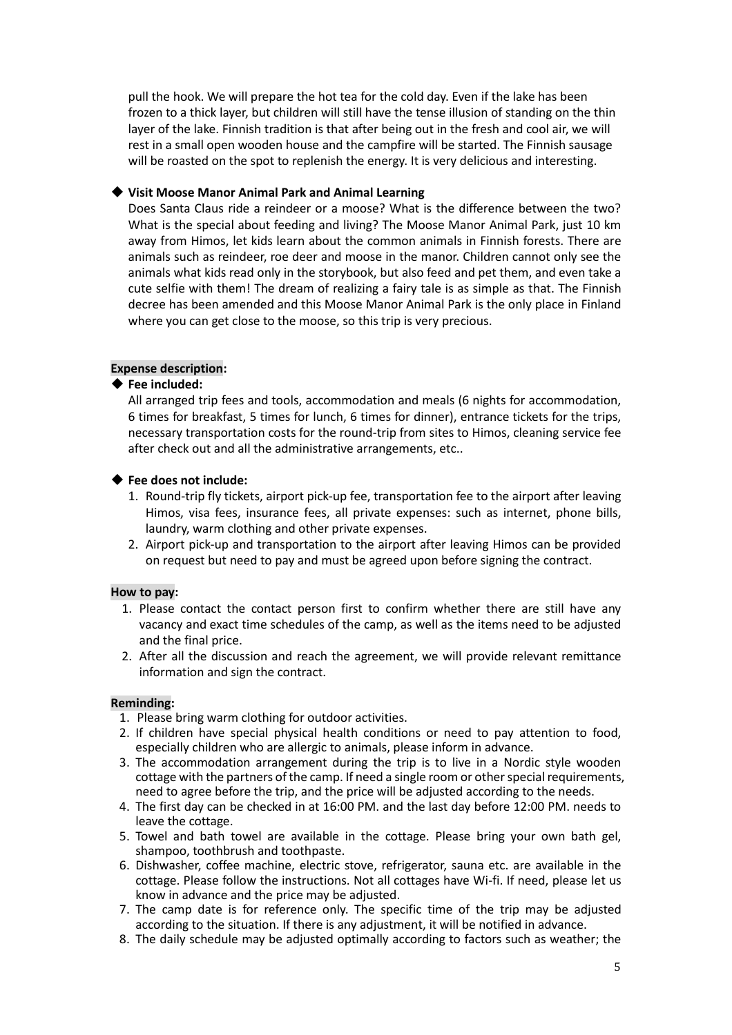pull the hook. We will prepare the hot tea for the cold day. Even if the lake has been frozen to a thick layer, but children will still have the tense illusion of standing on the thin layer of the lake. Finnish tradition is that after being out in the fresh and cool air, we will rest in a small open wooden house and the campfire will be started. The Finnish sausage will be roasted on the spot to replenish the energy. It is very delicious and interesting.

# ◆ **Visit Moose Manor Animal Park and Animal Learning**

Does Santa Claus ride a reindeer or a moose? What is the difference between the two? What is the special about feeding and living? The Moose Manor Animal Park, just 10 km away from Himos, let kids learn about the common animals in Finnish forests. There are animals such as reindeer, roe deer and moose in the manor. Children cannot only see the animals what kids read only in the storybook, but also feed and pet them, and even take a cute selfie with them! The dream of realizing a fairy tale is as simple as that. The Finnish decree has been amended and this Moose Manor Animal Park is the only place in Finland where you can get close to the moose, so this trip is very precious.

# **Expense description:**

## ◆ **Fee included:**

All arranged trip fees and tools, accommodation and meals (6 nights for accommodation, 6 times for breakfast, 5 times for lunch, 6 times for dinner), entrance tickets for the trips, necessary transportation costs for the round-trip from sites to Himos, cleaning service fee after check out and all the administrative arrangements, etc..

# ◆ **Fee does not include:**

- 1. Round-trip fly tickets, airport pick-up fee, transportation fee to the airport after leaving Himos, visa fees, insurance fees, all private expenses: such as internet, phone bills, laundry, warm clothing and other private expenses.
- 2. Airport pick-up and transportation to the airport after leaving Himos can be provided on request but need to pay and must be agreed upon before signing the contract.

### **How to pay:**

- 1. Please contact the contact person first to confirm whether there are still have any vacancy and exact time schedules of the camp, as well as the items need to be adjusted and the final price.
- 2. After all the discussion and reach the agreement, we will provide relevant remittance information and sign the contract.

### **Reminding:**

- 1. Please bring warm clothing for outdoor activities.
- 2. If children have special physical health conditions or need to pay attention to food, especially children who are allergic to animals, please inform in advance.
- 3. The accommodation arrangement during the trip is to live in a Nordic style wooden cottage with the partners of the camp. If need a single room or other special requirements, need to agree before the trip, and the price will be adjusted according to the needs.
- 4. The first day can be checked in at 16:00 PM. and the last day before 12:00 PM. needs to leave the cottage.
- 5. Towel and bath towel are available in the cottage. Please bring your own bath gel, shampoo, toothbrush and toothpaste.
- 6. Dishwasher, coffee machine, electric stove, refrigerator, sauna etc. are available in the cottage. Please follow the instructions. Not all cottages have Wi-fi. If need, please let us know in advance and the price may be adjusted.
- 7. The camp date is for reference only. The specific time of the trip may be adjusted according to the situation. If there is any adjustment, it will be notified in advance.
- 8. The daily schedule may be adjusted optimally according to factors such as weather; the